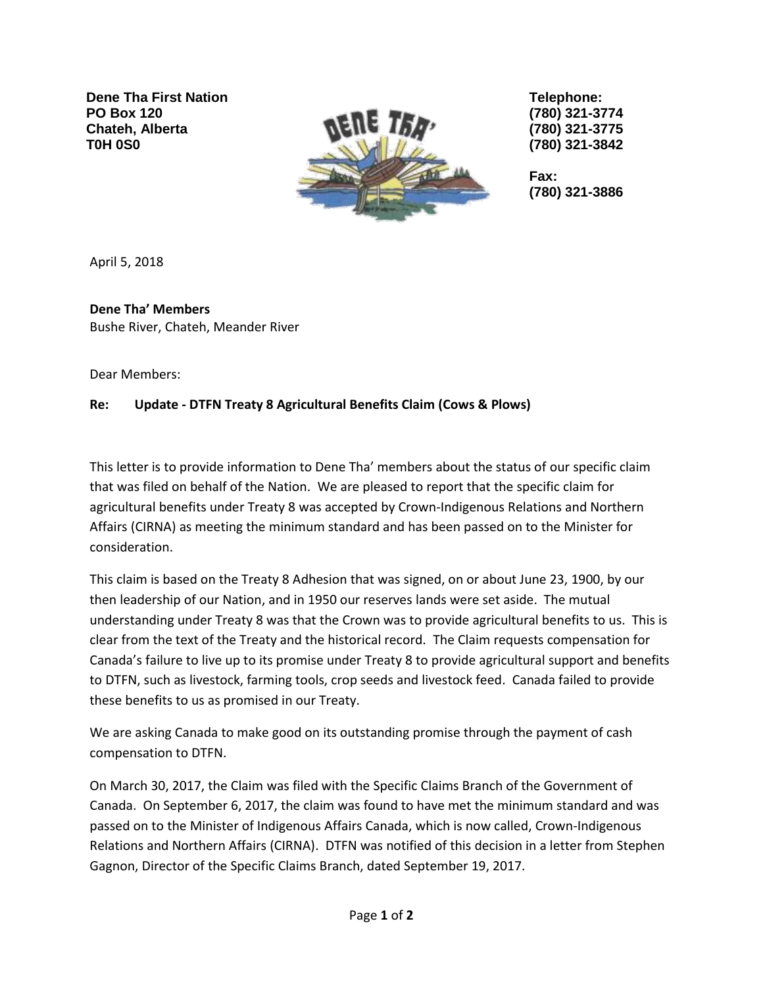**Dene Tha First Nation PO Box 120 Chateh, Alberta T0H 0S0**



**Telephone: (780) 321-3774 (780) 321-3775 (780) 321-3842**

**Fax: (780) 321-3886**

April 5, 2018

**Dene Tha' Members** Bushe River, Chateh, Meander River

Dear Members:

## **Re: Update - DTFN Treaty 8 Agricultural Benefits Claim (Cows & Plows)**

This letter is to provide information to Dene Tha' members about the status of our specific claim that was filed on behalf of the Nation. We are pleased to report that the specific claim for agricultural benefits under Treaty 8 was accepted by Crown-Indigenous Relations and Northern Affairs (CIRNA) as meeting the minimum standard and has been passed on to the Minister for consideration.

This claim is based on the Treaty 8 Adhesion that was signed, on or about June 23, 1900, by our then leadership of our Nation, and in 1950 our reserves lands were set aside. The mutual understanding under Treaty 8 was that the Crown was to provide agricultural benefits to us. This is clear from the text of the Treaty and the historical record. The Claim requests compensation for Canada's failure to live up to its promise under Treaty 8 to provide agricultural support and benefits to DTFN, such as livestock, farming tools, crop seeds and livestock feed. Canada failed to provide these benefits to us as promised in our Treaty.

We are asking Canada to make good on its outstanding promise through the payment of cash compensation to DTFN.

On March 30, 2017, the Claim was filed with the Specific Claims Branch of the Government of Canada. On September 6, 2017, the claim was found to have met the minimum standard and was passed on to the Minister of Indigenous Affairs Canada, which is now called, Crown-Indigenous Relations and Northern Affairs (CIRNA). DTFN was notified of this decision in a letter from Stephen Gagnon, Director of the Specific Claims Branch, dated September 19, 2017.